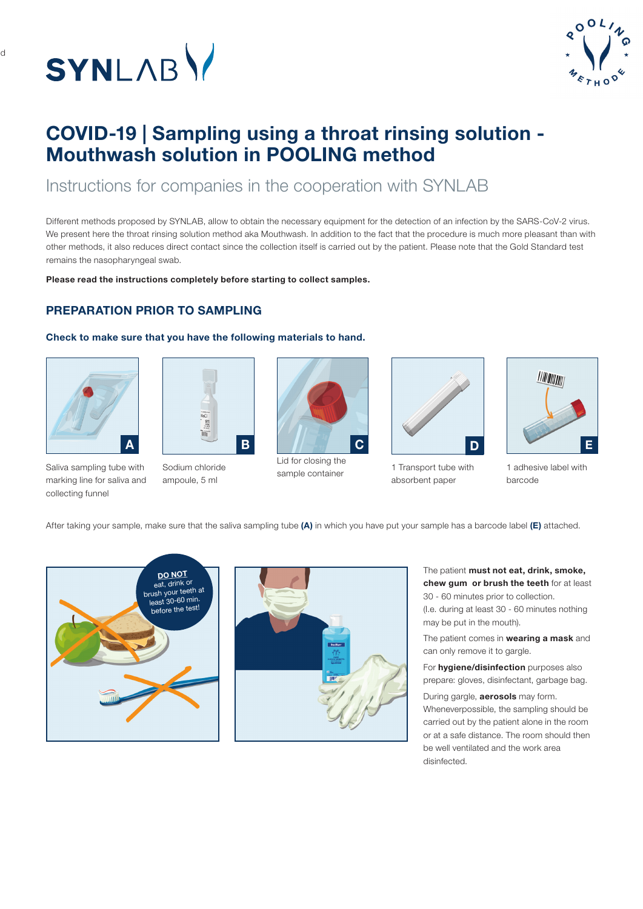

d



# COVID-19 | Sampling using a throat rinsing solution - Mouthwash solution in POOLING method

Instructions for companies in the cooperation with SYNLAB

Different methods proposed by SYNLAB, allow to obtain the necessary equipment for the detection of an infection by the SARS-CoV-2 virus. We present here the throat rinsing solution method aka Mouthwash. In addition to the fact that the procedure is much more pleasant than with other methods, it also reduces direct contact since the collection itself is carried out by the patient. Please note that the Gold Standard test remains the nasopharyngeal swab.

Please read the instructions completely before starting to collect samples.

### PREPARATION PRIOR TO SAMPLING

#### Check to make sure that you have the following materials to hand.





Saliva sampling tube with marking line for saliva and collecting funnel

Sodium chloride ampoule, 5 ml



Lid for closing the sample container



1 Transport tube with absorbent paper



1 adhesive label with barcode

After taking your sample, make sure that the saliva sampling tube (A) in which you have put your sample has a barcode label (E) attached.





The patient must not eat, drink, smoke, chew gum or brush the teeth for at least 30 - 60 minutes prior to collection.

(I.e. during at least 30 - 60 minutes nothing may be put in the mouth).

The patient comes in wearing a mask and can only remove it to gargle.

For **hygiene/disinfection** purposes also prepare: gloves, disinfectant, garbage bag.

During gargle, **aerosols** may form. Wheneverpossible, the sampling should be carried out by the patient alone in the room or at a safe distance. The room should then be well ventilated and the work area disinfected.